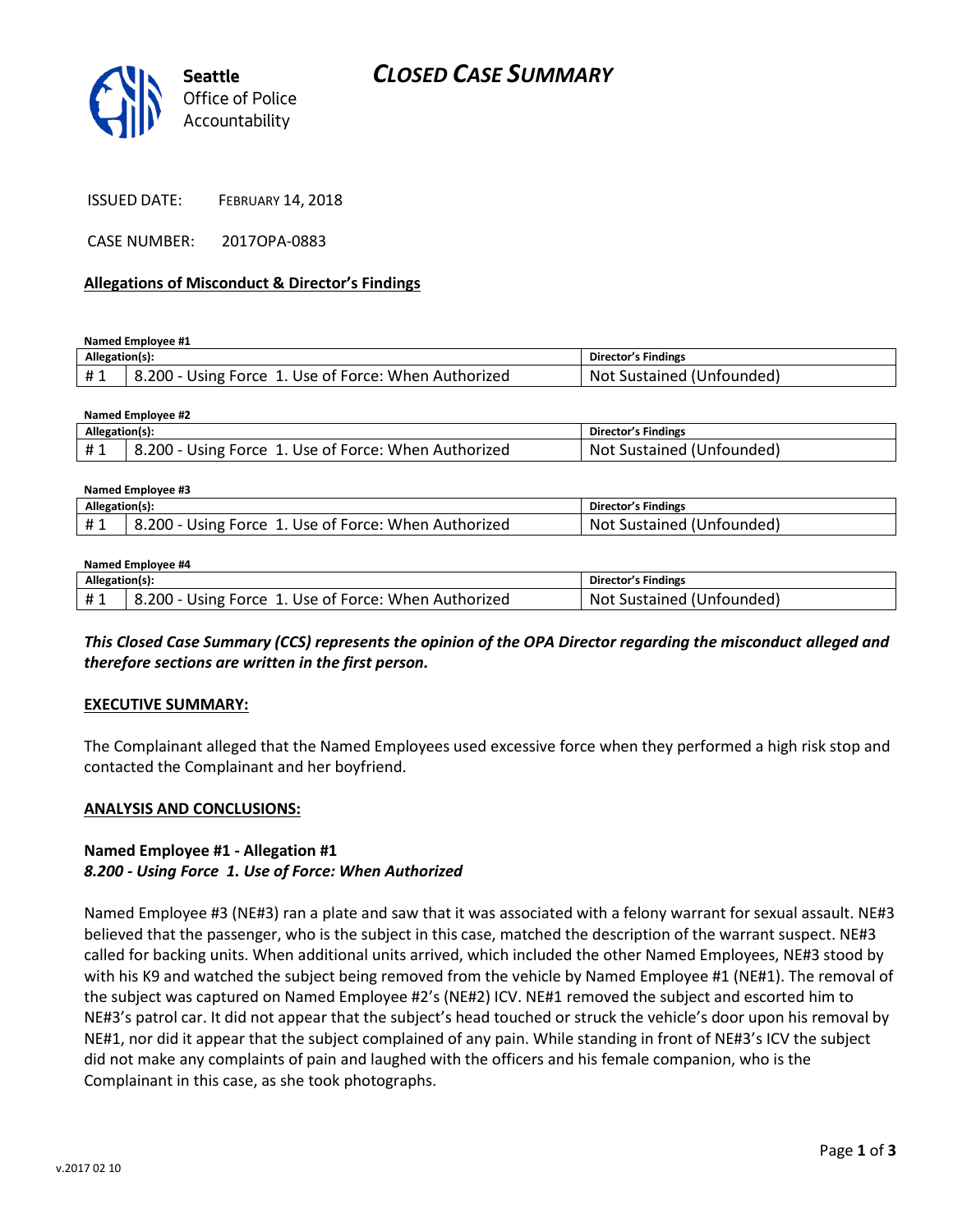

CASE NUMBER: 2017OPA-0883

### **Allegations of Misconduct & Director's Findings**

**Named Employee #1**

**Named Employee #2**

| Allegation(s): |                                                      | Director's Findings       |
|----------------|------------------------------------------------------|---------------------------|
|                | 8.200 - Using Force 1. Use of Force: When Authorized | Not Sustained (Unfounded) |

| $N$ and $C$ is a set $\mathcal{L}$ |                                                         |                                  |  |  |
|------------------------------------|---------------------------------------------------------|----------------------------------|--|--|
| Allegation(s):                     |                                                         | Director's Findings              |  |  |
| ᅲᆚ                                 | 8.200 - Using Force<br>1. Use of Force: When Authorized | : Sustained (Unfounded)<br>. Not |  |  |

| Named Employee #3 |                                                      |                           |  |  |
|-------------------|------------------------------------------------------|---------------------------|--|--|
| Allegation(s):    |                                                      | Director's Findings       |  |  |
| #1                | 8.200 - Using Force 1. Use of Force: When Authorized | Not Sustained (Unfounded) |  |  |

#### **Named Employee #4**

| Allegation(s): |                                                           | <b>Director's Findings</b>   |
|----------------|-----------------------------------------------------------|------------------------------|
| $+$ $\sim$     | 200 -<br>. Use of Force: When Authorized<br>- Using Force | Sustained (Unfounded)<br>Not |

*This Closed Case Summary (CCS) represents the opinion of the OPA Director regarding the misconduct alleged and therefore sections are written in the first person.* 

### **EXECUTIVE SUMMARY:**

The Complainant alleged that the Named Employees used excessive force when they performed a high risk stop and contacted the Complainant and her boyfriend.

#### **ANALYSIS AND CONCLUSIONS:**

### **Named Employee #1 - Allegation #1** *8.200 - Using Force 1. Use of Force: When Authorized*

Named Employee #3 (NE#3) ran a plate and saw that it was associated with a felony warrant for sexual assault. NE#3 believed that the passenger, who is the subject in this case, matched the description of the warrant suspect. NE#3 called for backing units. When additional units arrived, which included the other Named Employees, NE#3 stood by with his K9 and watched the subject being removed from the vehicle by Named Employee #1 (NE#1). The removal of the subject was captured on Named Employee #2's (NE#2) ICV. NE#1 removed the subject and escorted him to NE#3's patrol car. It did not appear that the subject's head touched or struck the vehicle's door upon his removal by NE#1, nor did it appear that the subject complained of any pain. While standing in front of NE#3's ICV the subject did not make any complaints of pain and laughed with the officers and his female companion, who is the Complainant in this case, as she took photographs.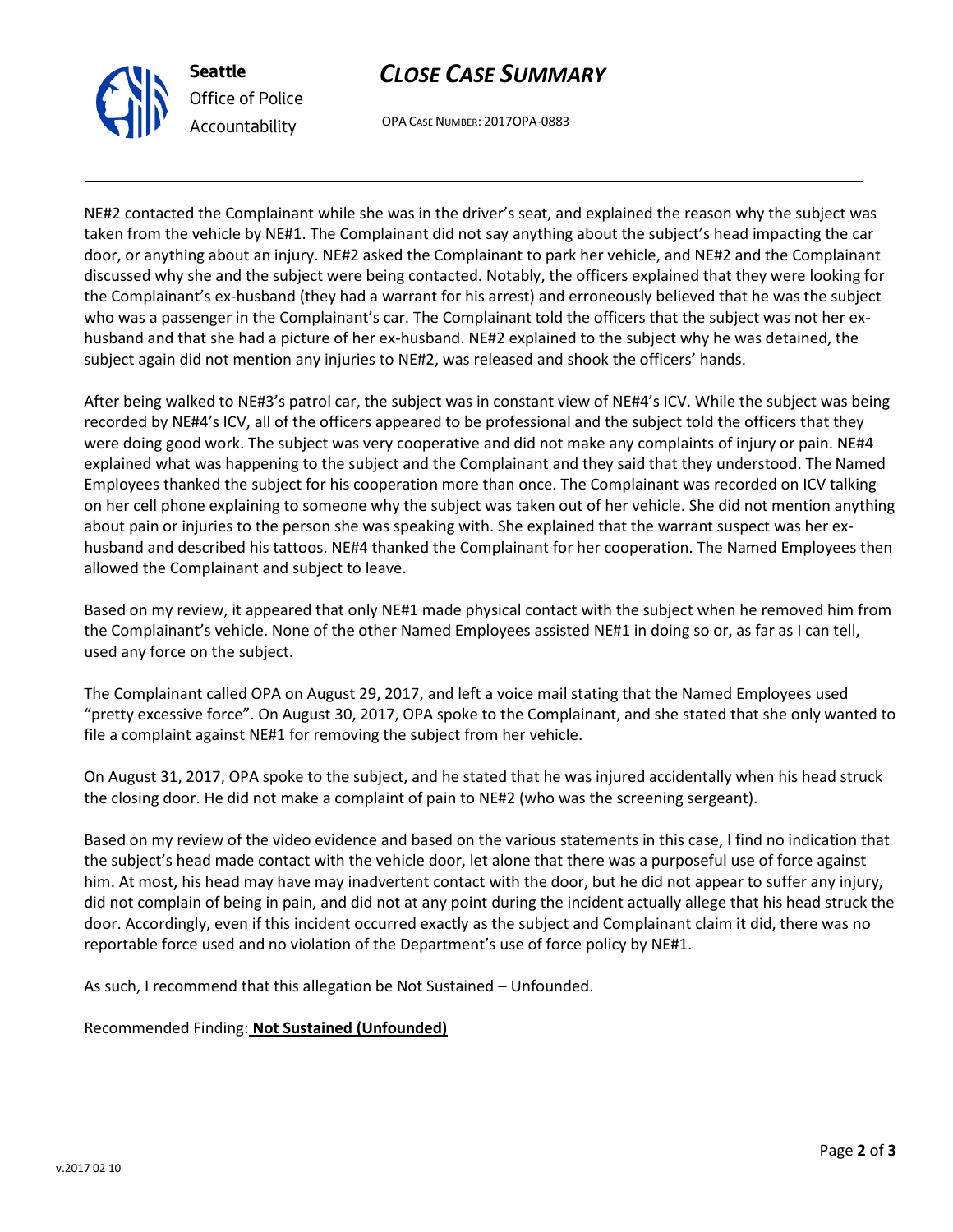

# *CLOSE CASE SUMMARY*

OPA CASE NUMBER: 2017OPA-0883

NE#2 contacted the Complainant while she was in the driver's seat, and explained the reason why the subject was taken from the vehicle by NE#1. The Complainant did not say anything about the subject's head impacting the car door, or anything about an injury. NE#2 asked the Complainant to park her vehicle, and NE#2 and the Complainant discussed why she and the subject were being contacted. Notably, the officers explained that they were looking for the Complainant's ex-husband (they had a warrant for his arrest) and erroneously believed that he was the subject who was a passenger in the Complainant's car. The Complainant told the officers that the subject was not her exhusband and that she had a picture of her ex-husband. NE#2 explained to the subject why he was detained, the subject again did not mention any injuries to NE#2, was released and shook the officers' hands.

After being walked to NE#3's patrol car, the subject was in constant view of NE#4's ICV. While the subject was being recorded by NE#4's ICV, all of the officers appeared to be professional and the subject told the officers that they were doing good work. The subject was very cooperative and did not make any complaints of injury or pain. NE#4 explained what was happening to the subject and the Complainant and they said that they understood. The Named Employees thanked the subject for his cooperation more than once. The Complainant was recorded on ICV talking on her cell phone explaining to someone why the subject was taken out of her vehicle. She did not mention anything about pain or injuries to the person she was speaking with. She explained that the warrant suspect was her exhusband and described his tattoos. NE#4 thanked the Complainant for her cooperation. The Named Employees then allowed the Complainant and subject to leave.

Based on my review, it appeared that only NE#1 made physical contact with the subject when he removed him from the Complainant's vehicle. None of the other Named Employees assisted NE#1 in doing so or, as far as I can tell, used any force on the subject.

The Complainant called OPA on August 29, 2017, and left a voice mail stating that the Named Employees used "pretty excessive force". On August 30, 2017, OPA spoke to the Complainant, and she stated that she only wanted to file a complaint against NE#1 for removing the subject from her vehicle.

On August 31, 2017, OPA spoke to the subject, and he stated that he was injured accidentally when his head struck the closing door. He did not make a complaint of pain to NE#2 (who was the screening sergeant).

Based on my review of the video evidence and based on the various statements in this case, I find no indication that the subject's head made contact with the vehicle door, let alone that there was a purposeful use of force against him. At most, his head may have may inadvertent contact with the door, but he did not appear to suffer any injury, did not complain of being in pain, and did not at any point during the incident actually allege that his head struck the door. Accordingly, even if this incident occurred exactly as the subject and Complainant claim it did, there was no reportable force used and no violation of the Department's use of force policy by NE#1.

As such, I recommend that this allegation be Not Sustained – Unfounded.

Recommended Finding: **Not Sustained (Unfounded)**